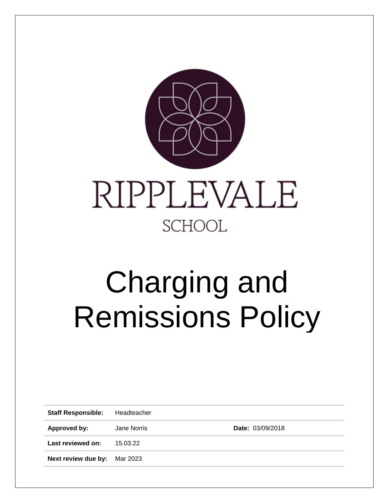

# Charging and Remissions Policy

| <b>Staff Responsible:</b>           | Headteacher |                         |
|-------------------------------------|-------------|-------------------------|
| Approved by:                        | Jane Norris | <b>Date: 03/09/2018</b> |
| Last reviewed on:                   | 15.03.22    |                         |
| <b>Next review due by:</b> Mar 2023 |             |                         |
|                                     |             |                         |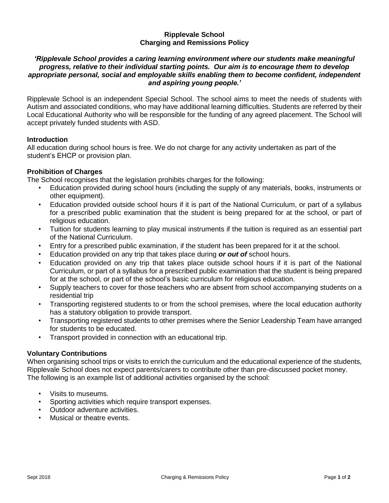#### **Ripplevale School Charging and Remissions Policy**

### *'Ripplevale School provides a caring learning environment where our students make meaningful progress, relative to their individual starting points. Our aim is to encourage them to develop appropriate personal, social and employable skills enabling them to become confident, independent and aspiring young people.'*

Ripplevale School is an independent Special School. The school aims to meet the needs of students with Autism and associated conditions, who may have additional learning difficulties. Students are referred by their Local Educational Authority who will be responsible for the funding of any agreed placement. The School will accept privately funded students with ASD.

### **Introduction**

All education during school hours is free. We do not charge for any activity undertaken as part of the student's EHCP or provision plan.

## **Prohibition of Charges**

The School recognises that the legislation prohibits charges for the following:

- Education provided during school hours (including the supply of any materials, books, instruments or other equipment).
- Education provided outside school hours if it is part of the National Curriculum, or part of a syllabus for a prescribed public examination that the student is being prepared for at the school, or part of religious education.
- Tuition for students learning to play musical instruments if the tuition is required as an essential part of the National Curriculum.
- Entry for a prescribed public examination, if the student has been prepared for it at the school.
- Education provided on any trip that takes place during *or out of* school hours.
- Education provided on any trip that takes place outside school hours if it is part of the National Curriculum, or part of a syllabus for a prescribed public examination that the student is being prepared for at the school, or part of the school's basic curriculum for religious education.
- Supply teachers to cover for those teachers who are absent from school accompanying students on a residential trip
- Transporting registered students to or from the school premises, where the local education authority has a statutory obligation to provide transport.
- Transporting registered students to other premises where the Senior Leadership Team have arranged for students to be educated.
- Transport provided in connection with an educational trip.

#### **Voluntary Contributions**

When organising school trips or visits to enrich the curriculum and the educational experience of the students, Ripplevale School does not expect parents/carers to contribute other than pre-discussed pocket money. The following is an example list of additional activities organised by the school:

- Visits to museums.
- Sporting activities which require transport expenses.
- Outdoor adventure activities.
- Musical or theatre events.